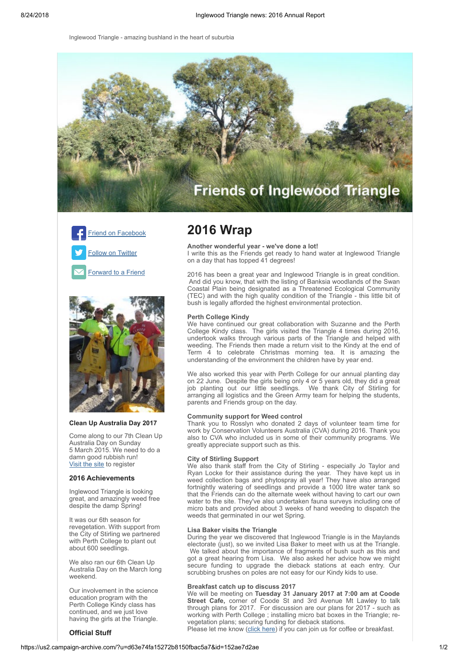Inglewood Triangle - amazing bushland in the heart of suburbia







# **Clean Up Australia Day 2017**

Come along to our 7th Clean Up Australia Day on Sunday 5 March 2015. We need to do a damn good rubbish run! [Visit the site](http://www.cleanupaustraliaday.org.au/Inglewood+Triangle) to register

# **2016 Achievements**

Inglewood Triangle is looking great, and amazingly weed free despite the damp Spring!

It was our 6th season for revegetation. With support from the City of Stirling we partnered with Perth College to plant out about 600 seedlings.

We also ran our 6th Clean Up Australia Day on the March long weekend.

Our involvement in the science education program with the Perth College Kindy class has continued, and we just love having the girls at the Triangle.

# **Official Stuff**

# **2016 Wrap**

**Another wonderful year - we've done a lot!** I write this as the Friends get ready to hand water at Inglewood Triangle on a day that has topped 41 degrees!

2016 has been a great year and Inglewood Triangle is in great condition. And did you know, that with the listing of Banksia woodlands of the Swan Coastal Plain being designated as a Threatened Ecological Community (TEC) and with the high quality condition of the Triangle - this little bit of bush is legally afforded the highest environmental protection.

### **Perth College Kindy**

We have continued our great collaboration with Suzanne and the Perth College Kindy class. The girls visited the Triangle 4 times during 2016, undertook walks through various parts of the Triangle and helped with weeding. The Friends then made a return visit to the Kindy at the end of Term  $\overline{4}$  to celebrate Christmas morning tea. It is amazing the understanding of the environment the children have by year end.

We also worked this year with Perth College for our annual planting day on 22 June. Despite the girls being only 4 or 5 years old, they did a great job planting out our little seedlings. We thank City of Stirling for arranging all logistics and the Green Army team for helping the students, parents and Friends group on the day.

# **Community support for Weed control**

Thank you to Rosslyn who donated 2 days of volunteer team time for work by Conservation Volunteers Australia (CVA) during 2016. Thank you also to CVA who included us in some of their community programs. We greatly appreciate support such as this.

#### **City of Stirling Support**

We also thank staff from the City of Stirling - especially Jo Taylor and Ryan Locke for their assistance during the year. They have kept us in weed collection bags and phytospray all year! They have also arranged fortnightly watering of seedlings and provide a 1000 litre water tank so that the Friends can do the alternate week without having to cart our own water to the site. They've also undertaken fauna surveys including one of micro bats and provided about 3 weeks of hand weeding to dispatch the weeds that germinated in our wet Spring.

#### **Lisa Baker visits the Triangle**

During the year we discovered that Inglewood Triangle is in the Maylands electorate (just), so we invited Lisa Baker to meet with us at the Triangle. We talked about the importance of fragments of bush such as this and got a great hearing from Lisa. We also asked her advice how we might secure funding to upgrade the dieback stations at each entry. Our scrubbing brushes on poles are not easy for our Kindy kids to use.

#### **Breakfast catch up to discuss 2017**

We will be meeting on **Tuesday 31 January 2017 at 7:00 am at Coode Street Cafe,** corner of Coode St and 3rd Avenue Mt Lawley to talk through plans for 2017. For discussion are our plans for 2017 - such as working with Perth College ; installing micro bat boxes in the Triangle; revegetation plans; securing funding for dieback stations.

Please let me know ([click here](mailto:christine.richardson@iinet.net.au?subject=Friends%20of%20Inglewood%20Triangle%20Breakfast%20Meeting%20&body=Hi%20Christine%0A%0AYes%2C%20I%20will%20join%20you%20on%20Tuesday%2031%20January%20at%207%3A00%20am%20)) if you can join us for coffee or breakfast.